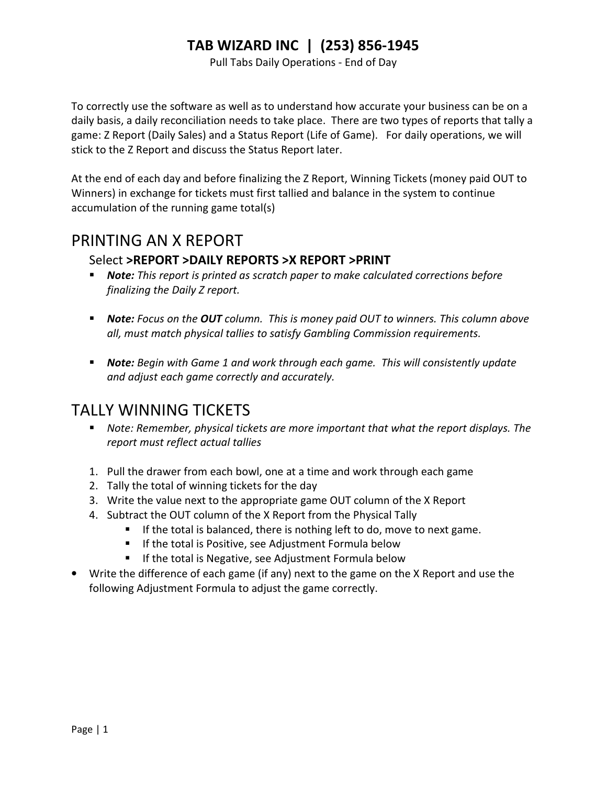Pull Tabs Daily Operations - End of Day

To correctly use the software as well as to understand how accurate your business can be on a daily basis, a daily reconciliation needs to take place. There are two types of reports that tally a game: Z Report (Daily Sales) and a Status Report (Life of Game). For daily operations, we will stick to the Z Report and discuss the Status Report later.

At the end of each day and before finalizing the Z Report, Winning Tickets (money paid OUT to Winners) in exchange for tickets must first tallied and balance in the system to continue accumulation of the running game total(s)

## PRINTING AN X REPORT

#### Select >REPORT >DAILY REPORTS >X REPORT >PRINT

- **Note:** This report is printed as scratch paper to make calculated corrections before finalizing the Daily Z report.
- Note: Focus on the OUT column. This is money paid OUT to winners. This column above all, must match physical tallies to satisfy Gambling Commission requirements.
- **Note:** Begin with Game 1 and work through each game. This will consistently update and adjust each game correctly and accurately.

## TALLY WINNING TICKETS

- **Note: Remember, physical tickets are more important that what the report displays. The** report must reflect actual tallies
- 1. Pull the drawer from each bowl, one at a time and work through each game
- 2. Tally the total of winning tickets for the day
- 3. Write the value next to the appropriate game OUT column of the X Report
- 4. Subtract the OUT column of the X Report from the Physical Tally
	- $\blacksquare$  If the total is balanced, there is nothing left to do, move to next game.
	- **If the total is Positive, see Adjustment Formula below**
	- **If the total is Negative, see Adjustment Formula below**
- Write the difference of each game (if any) next to the game on the X Report and use the following Adjustment Formula to adjust the game correctly.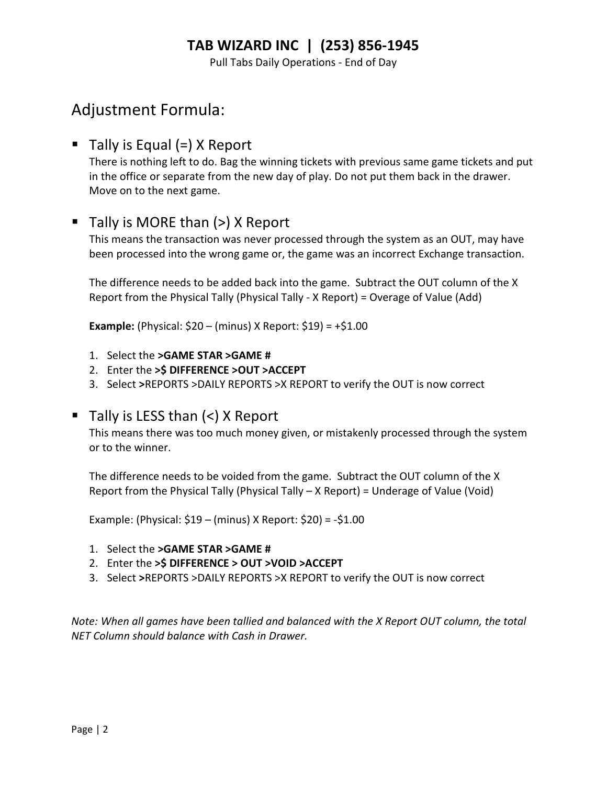Pull Tabs Daily Operations - End of Day

## Adjustment Formula:

### $\blacksquare$  Tally is Equal (=) X Report

There is nothing left to do. Bag the winning tickets with previous same game tickets and put in the office or separate from the new day of play. Do not put them back in the drawer. Move on to the next game.

### $\blacksquare$  Tally is MORE than (>) X Report

This means the transaction was never processed through the system as an OUT, may have been processed into the wrong game or, the game was an incorrect Exchange transaction.

The difference needs to be added back into the game. Subtract the OUT column of the X Report from the Physical Tally (Physical Tally - X Report) = Overage of Value (Add)

**Example:** (Physical:  $$20 - (minus)$  X Report:  $$19) = +$1.00$ 

- 1. Select the >GAME STAR >GAME #
- 2. Enter the >\$ DIFFERENCE >OUT >ACCEPT
- 3. Select >REPORTS >DAILY REPORTS >X REPORT to verify the OUT is now correct

#### Tally is LESS than  $(<)$  X Report

This means there was too much money given, or mistakenly processed through the system or to the winner.

The difference needs to be voided from the game. Subtract the OUT column of the X Report from the Physical Tally (Physical Tally – X Report) = Underage of Value (Void)

Example: (Physical: \$19 – (minus) X Report: \$20) = -\$1.00

- 1. Select the >GAME STAR >GAME #
- 2. Enter the >\$ DIFFERENCE > OUT >VOID >ACCEPT
- 3. Select >REPORTS >DAILY REPORTS >X REPORT to verify the OUT is now correct

Note: When all games have been tallied and balanced with the X Report OUT column, the total NET Column should balance with Cash in Drawer.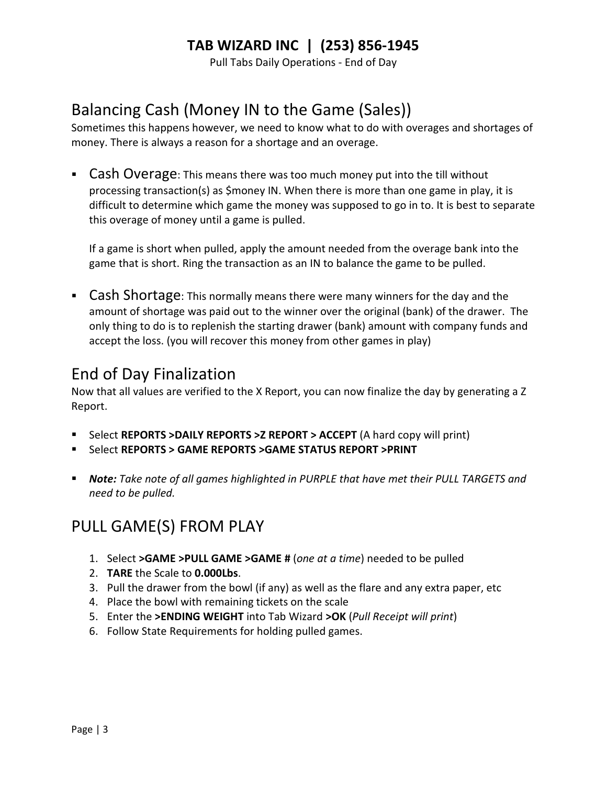Pull Tabs Daily Operations - End of Day

# Balancing Cash (Money IN to the Game (Sales))

Sometimes this happens however, we need to know what to do with overages and shortages of money. There is always a reason for a shortage and an overage.

**Cash Overage:** This means there was too much money put into the till without processing transaction(s) as \$money IN. When there is more than one game in play, it is difficult to determine which game the money was supposed to go in to. It is best to separate this overage of money until a game is pulled.

If a game is short when pulled, apply the amount needed from the overage bank into the game that is short. Ring the transaction as an IN to balance the game to be pulled.

**Cash Shortage**: This normally means there were many winners for the day and the amount of shortage was paid out to the winner over the original (bank) of the drawer. The only thing to do is to replenish the starting drawer (bank) amount with company funds and accept the loss. (you will recover this money from other games in play)

## End of Day Finalization

Now that all values are verified to the X Report, you can now finalize the day by generating a Z Report.

- Select REPORTS >DAILY REPORTS >Z REPORT > ACCEPT (A hard copy will print)
- Select REPORTS > GAME REPORTS >GAME STATUS REPORT >PRINT
- **Note:** Take note of all games highlighted in PURPLE that have met their PULL TARGETS and need to be pulled.

# PULL GAME(S) FROM PLAY

- 1. Select >GAME >PULL GAME >GAME # (one at a time) needed to be pulled
- 2. TARE the Scale to 0.000Lbs.
- 3. Pull the drawer from the bowl (if any) as well as the flare and any extra paper, etc
- 4. Place the bowl with remaining tickets on the scale
- 5. Enter the >ENDING WEIGHT into Tab Wizard >OK (Pull Receipt will print)
- 6. Follow State Requirements for holding pulled games.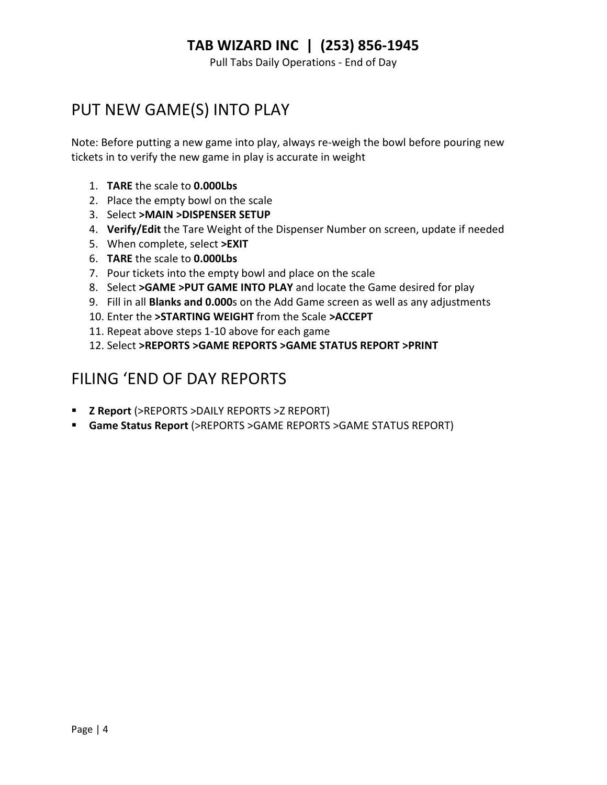Pull Tabs Daily Operations - End of Day

## PUT NEW GAME(S) INTO PLAY

Note: Before putting a new game into play, always re-weigh the bowl before pouring new tickets in to verify the new game in play is accurate in weight

- 1. TARE the scale to 0.000Lbs
- 2. Place the empty bowl on the scale
- 3. Select >MAIN >DISPENSER SETUP
- 4. Verify/Edit the Tare Weight of the Dispenser Number on screen, update if needed
- 5. When complete, select >EXIT
- 6. TARE the scale to 0.000Lbs
- 7. Pour tickets into the empty bowl and place on the scale
- 8. Select > GAME > PUT GAME INTO PLAY and locate the Game desired for play
- 9. Fill in all Blanks and 0.000s on the Add Game screen as well as any adjustments
- 10. Enter the >STARTING WEIGHT from the Scale >ACCEPT
- 11. Repeat above steps 1-10 above for each game
- 12. Select >REPORTS >GAME REPORTS >GAME STATUS REPORT >PRINT

## FILING 'END OF DAY REPORTS

- **E** Z Report (>REPORTS >DAILY REPORTS >Z REPORT)
- Game Status Report (>REPORTS >GAME REPORTS >GAME STATUS REPORT)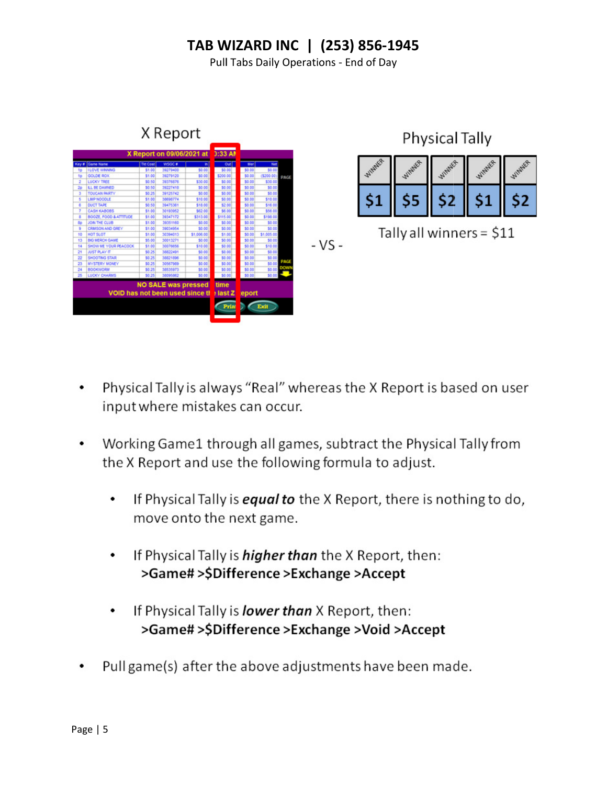Pull Tabs Daily Operations - End of Day



- Physical Tally is always "Real" whereas the X Report is based on user input where mistakes can occur.
- Working Game1 through all games, subtract the Physical Tally from the X Report and use the following formula to adjust.
	- If Physical Tally is **equal to** the X Report, there is nothing to do, ٠ move onto the next game.
	- If Physical Tally is *higher than* the X Report, then:  $\bullet$ >Game# >\$Difference >Exchange >Accept
	- If Physical Tally is *lower than* X Report, then: ٠ >Game#>\$Difference>Exchange>Void>Accept
- Pull game(s) after the above adjustments have been made.